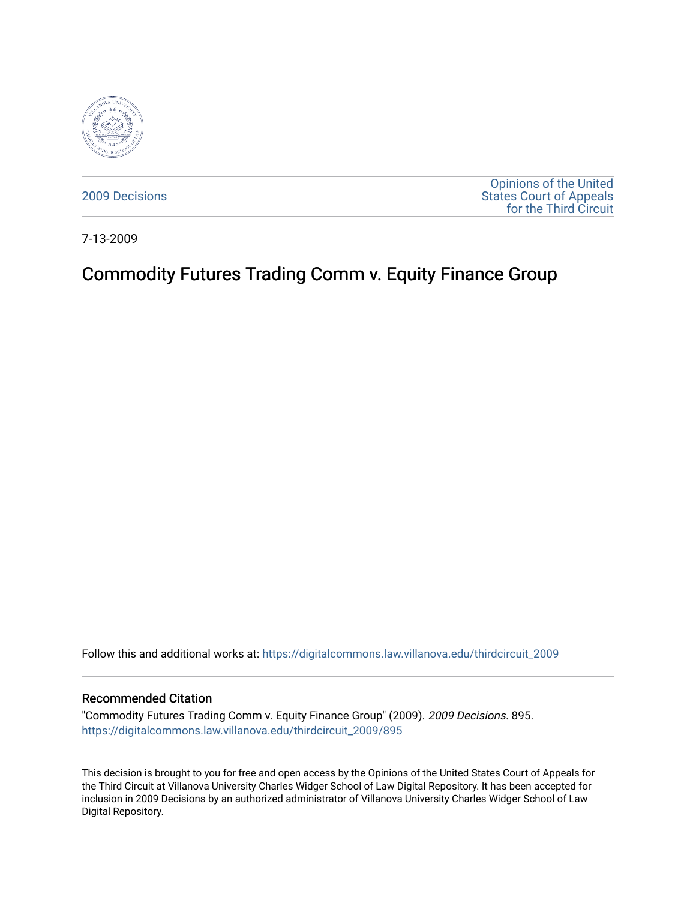

[2009 Decisions](https://digitalcommons.law.villanova.edu/thirdcircuit_2009)

[Opinions of the United](https://digitalcommons.law.villanova.edu/thirdcircuit)  [States Court of Appeals](https://digitalcommons.law.villanova.edu/thirdcircuit)  [for the Third Circuit](https://digitalcommons.law.villanova.edu/thirdcircuit) 

7-13-2009

# Commodity Futures Trading Comm v. Equity Finance Group

Follow this and additional works at: [https://digitalcommons.law.villanova.edu/thirdcircuit\\_2009](https://digitalcommons.law.villanova.edu/thirdcircuit_2009?utm_source=digitalcommons.law.villanova.edu%2Fthirdcircuit_2009%2F895&utm_medium=PDF&utm_campaign=PDFCoverPages) 

#### Recommended Citation

"Commodity Futures Trading Comm v. Equity Finance Group" (2009). 2009 Decisions. 895. [https://digitalcommons.law.villanova.edu/thirdcircuit\\_2009/895](https://digitalcommons.law.villanova.edu/thirdcircuit_2009/895?utm_source=digitalcommons.law.villanova.edu%2Fthirdcircuit_2009%2F895&utm_medium=PDF&utm_campaign=PDFCoverPages)

This decision is brought to you for free and open access by the Opinions of the United States Court of Appeals for the Third Circuit at Villanova University Charles Widger School of Law Digital Repository. It has been accepted for inclusion in 2009 Decisions by an authorized administrator of Villanova University Charles Widger School of Law Digital Repository.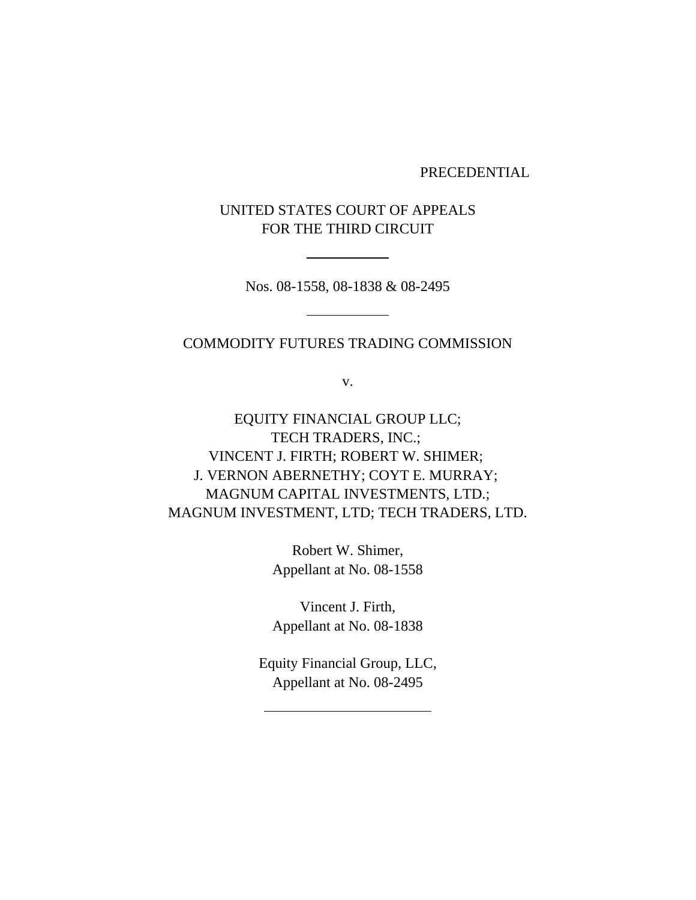PRECEDENTIAL

UNITED STATES COURT OF APPEALS FOR THE THIRD CIRCUIT

Nos. 08-1558, 08-1838 & 08-2495

#### COMMODITY FUTURES TRADING COMMISSION

v.

EQUITY FINANCIAL GROUP LLC; TECH TRADERS, INC.; VINCENT J. FIRTH; ROBERT W. SHIMER; J. VERNON ABERNETHY; COYT E. MURRAY; MAGNUM CAPITAL INVESTMENTS, LTD.; MAGNUM INVESTMENT, LTD; TECH TRADERS, LTD.

> Robert W. Shimer, Appellant at No. 08-1558

> Vincent J. Firth, Appellant at No. 08-1838

Equity Financial Group, LLC, Appellant at No. 08-2495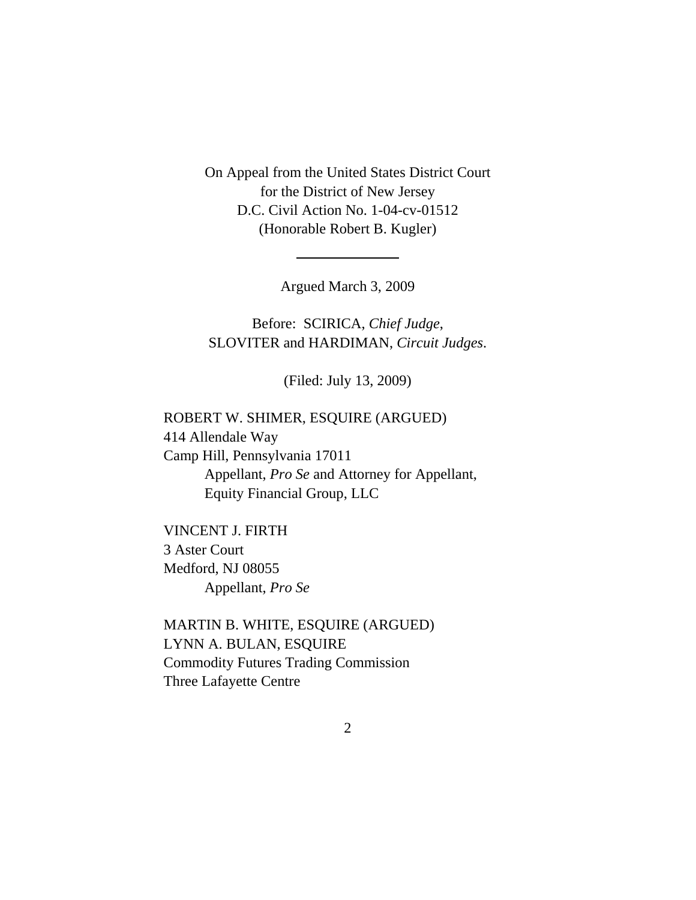On Appeal from the United States District Court for the District of New Jersey D.C. Civil Action No. 1-04-cv-01512 (Honorable Robert B. Kugler)

Argued March 3, 2009

Before: SCIRICA, *Chief Judge*, SLOVITER and HARDIMAN, *Circuit Judges*.

(Filed: July 13, 2009)

# ROBERT W. SHIMER, ESQUIRE (ARGUED) 414 Allendale Way Camp Hill, Pennsylvania 17011 Appellant, *Pro Se* and Attorney for Appellant, Equity Financial Group, LLC

VINCENT J. FIRTH 3 Aster Court Medford, NJ 08055 Appellant, *Pro Se*

MARTIN B. WHITE, ESQUIRE (ARGUED) LYNN A. BULAN, ESQUIRE Commodity Futures Trading Commission Three Lafayette Centre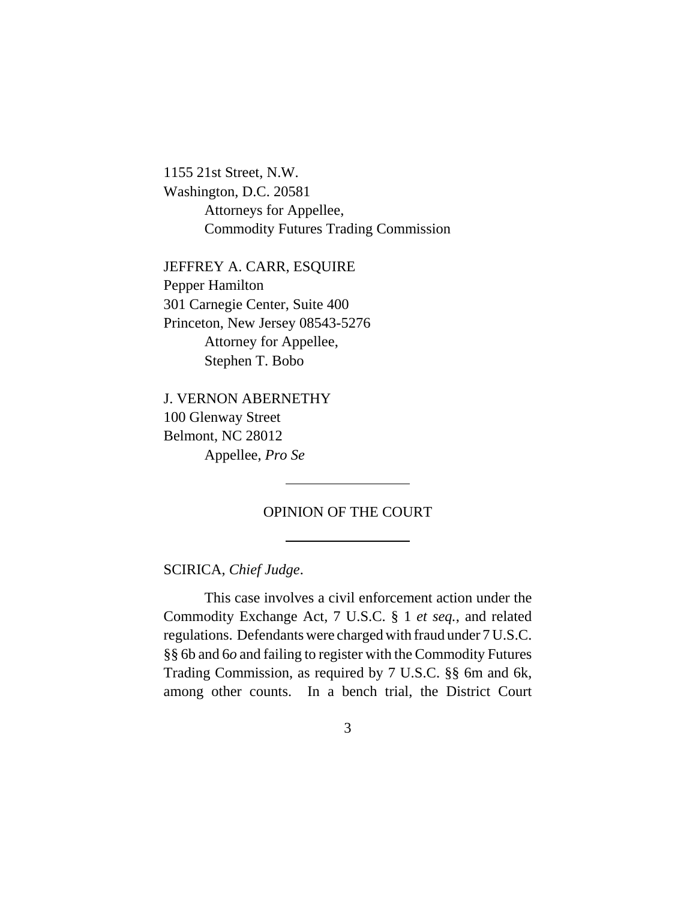1155 21st Street, N.W. Washington, D.C. 20581 Attorneys for Appellee, Commodity Futures Trading Commission

JEFFREY A. CARR, ESQUIRE Pepper Hamilton 301 Carnegie Center, Suite 400 Princeton, New Jersey 08543-5276 Attorney for Appellee, Stephen T. Bobo

J. VERNON ABERNETHY 100 Glenway Street Belmont, NC 28012 Appellee, *Pro Se*

# OPINION OF THE COURT

SCIRICA, *Chief Judge*.

This case involves a civil enforcement action under the Commodity Exchange Act, 7 U.S.C. § 1 *et seq.*, and related regulations. Defendants were charged with fraud under 7 U.S.C. §§ 6b and 6*o* and failing to register with the Commodity Futures Trading Commission, as required by 7 U.S.C. §§ 6m and 6k, among other counts. In a bench trial, the District Court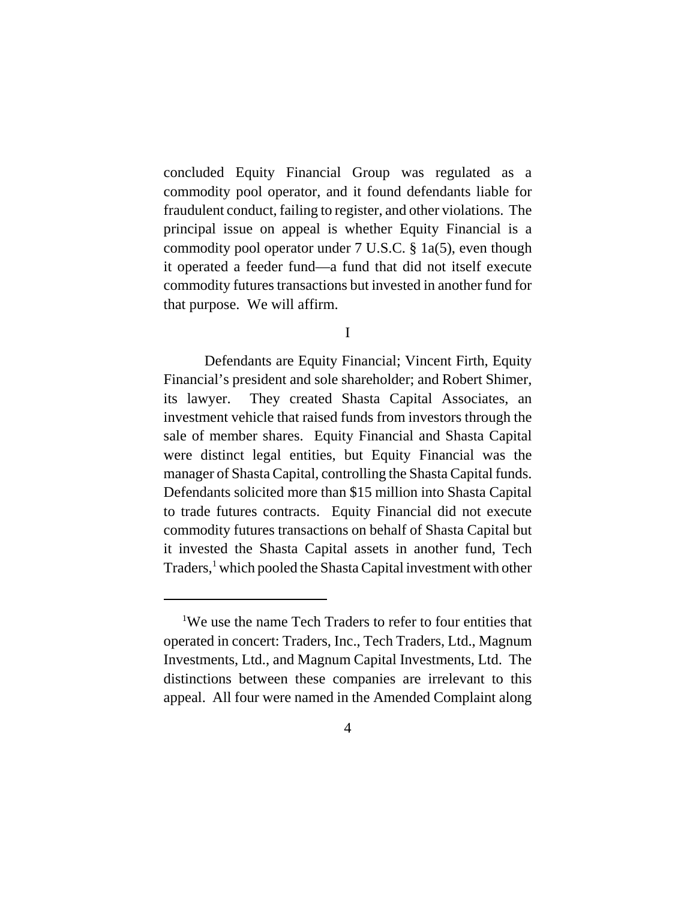concluded Equity Financial Group was regulated as a commodity pool operator, and it found defendants liable for fraudulent conduct, failing to register, and other violations. The principal issue on appeal is whether Equity Financial is a commodity pool operator under 7 U.S.C. § 1a(5), even though it operated a feeder fund—a fund that did not itself execute commodity futures transactions but invested in another fund for that purpose. We will affirm.

#### I

Defendants are Equity Financial; Vincent Firth, Equity Financial's president and sole shareholder; and Robert Shimer, its lawyer. They created Shasta Capital Associates, an investment vehicle that raised funds from investors through the sale of member shares. Equity Financial and Shasta Capital were distinct legal entities, but Equity Financial was the manager of Shasta Capital, controlling the Shasta Capital funds. Defendants solicited more than \$15 million into Shasta Capital to trade futures contracts. Equity Financial did not execute commodity futures transactions on behalf of Shasta Capital but it invested the Shasta Capital assets in another fund, Tech Traders,<sup>1</sup> which pooled the Shasta Capital investment with other

<sup>&</sup>lt;sup>1</sup>We use the name Tech Traders to refer to four entities that operated in concert: Traders, Inc., Tech Traders, Ltd., Magnum Investments, Ltd., and Magnum Capital Investments, Ltd. The distinctions between these companies are irrelevant to this appeal. All four were named in the Amended Complaint along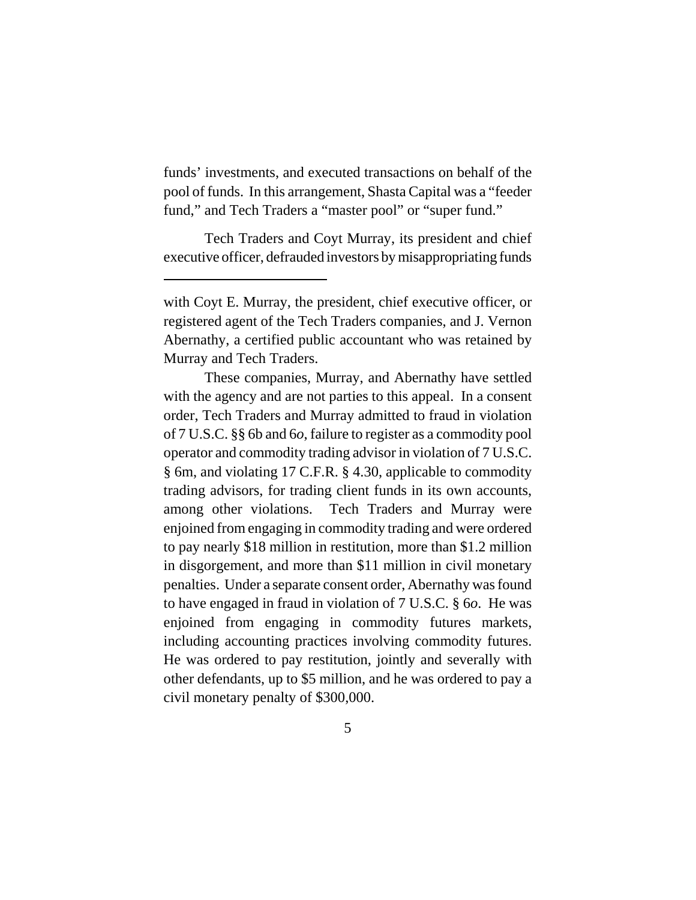funds' investments, and executed transactions on behalf of the pool of funds. In this arrangement, Shasta Capital was a "feeder fund," and Tech Traders a "master pool" or "super fund."

Tech Traders and Coyt Murray, its president and chief executive officer, defrauded investors by misappropriating funds

These companies, Murray, and Abernathy have settled with the agency and are not parties to this appeal. In a consent order, Tech Traders and Murray admitted to fraud in violation of 7 U.S.C. §§ 6b and 6*o*, failure to register as a commodity pool operator and commodity trading advisor in violation of 7 U.S.C. § 6m, and violating 17 C.F.R. § 4.30, applicable to commodity trading advisors, for trading client funds in its own accounts, among other violations. Tech Traders and Murray were enjoined from engaging in commodity trading and were ordered to pay nearly \$18 million in restitution, more than \$1.2 million in disgorgement, and more than \$11 million in civil monetary penalties. Under a separate consent order, Abernathy was found to have engaged in fraud in violation of 7 U.S.C. § 6*o*. He was enjoined from engaging in commodity futures markets, including accounting practices involving commodity futures. He was ordered to pay restitution, jointly and severally with other defendants, up to \$5 million, and he was ordered to pay a civil monetary penalty of \$300,000.

with Coyt E. Murray, the president, chief executive officer, or registered agent of the Tech Traders companies, and J. Vernon Abernathy, a certified public accountant who was retained by Murray and Tech Traders.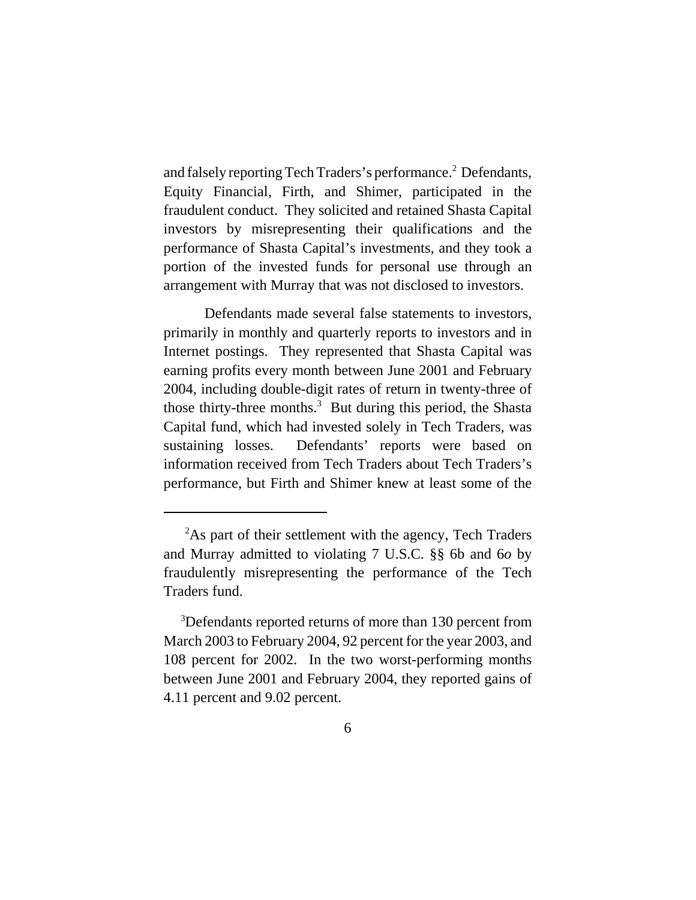and falsely reporting Tech Traders's performance.<sup>2</sup> Defendants, Equity Financial, Firth, and Shimer, participated in the fraudulent conduct. They solicited and retained Shasta Capital investors by misrepresenting their qualifications and the performance of Shasta Capital's investments, and they took a portion of the invested funds for personal use through an arrangement with Murray that was not disclosed to investors.

Defendants made several false statements to investors, primarily in monthly and quarterly reports to investors and in Internet postings. They represented that Shasta Capital was earning profits every month between June 2001 and February 2004, including double-digit rates of return in twenty-three of those thirty-three months.<sup>3</sup> But during this period, the Shasta Capital fund, which had invested solely in Tech Traders, was sustaining losses. Defendants' reports were based on information received from Tech Traders about Tech Traders's performance, but Firth and Shimer knew at least some of the

<sup>&</sup>lt;sup>2</sup>As part of their settlement with the agency, Tech Traders and Murray admitted to violating 7 U.S.C. §§ 6b and 6*o* by fraudulently misrepresenting the performance of the Tech Traders fund.

<sup>&</sup>lt;sup>3</sup>Defendants reported returns of more than 130 percent from March 2003 to February 2004, 92 percent for the year 2003, and 108 percent for 2002. In the two worst-performing months between June 2001 and February 2004, they reported gains of 4.11 percent and 9.02 percent.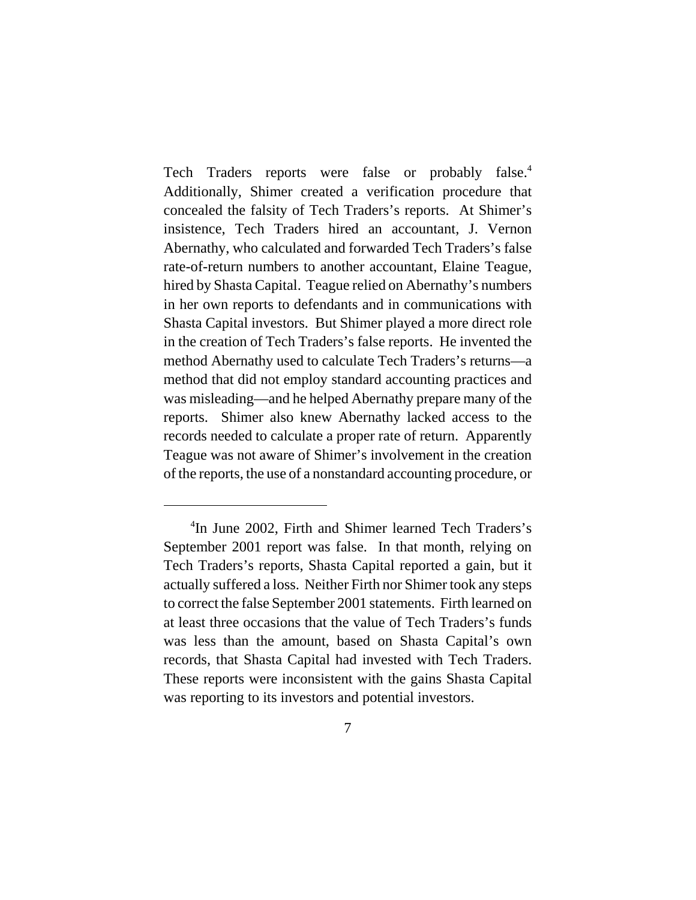Tech Traders reports were false or probably false.<sup>4</sup> Additionally, Shimer created a verification procedure that concealed the falsity of Tech Traders's reports. At Shimer's insistence, Tech Traders hired an accountant, J. Vernon Abernathy, who calculated and forwarded Tech Traders's false rate-of-return numbers to another accountant, Elaine Teague, hired by Shasta Capital. Teague relied on Abernathy's numbers in her own reports to defendants and in communications with Shasta Capital investors. But Shimer played a more direct role in the creation of Tech Traders's false reports. He invented the method Abernathy used to calculate Tech Traders's returns—a method that did not employ standard accounting practices and was misleading—and he helped Abernathy prepare many of the reports. Shimer also knew Abernathy lacked access to the records needed to calculate a proper rate of return. Apparently Teague was not aware of Shimer's involvement in the creation of the reports, the use of a nonstandard accounting procedure, or

 <sup>4</sup> In June 2002, Firth and Shimer learned Tech Traders's September 2001 report was false. In that month, relying on Tech Traders's reports, Shasta Capital reported a gain, but it actually suffered a loss. Neither Firth nor Shimer took any steps to correct the false September 2001 statements. Firth learned on at least three occasions that the value of Tech Traders's funds was less than the amount, based on Shasta Capital's own records, that Shasta Capital had invested with Tech Traders. These reports were inconsistent with the gains Shasta Capital was reporting to its investors and potential investors.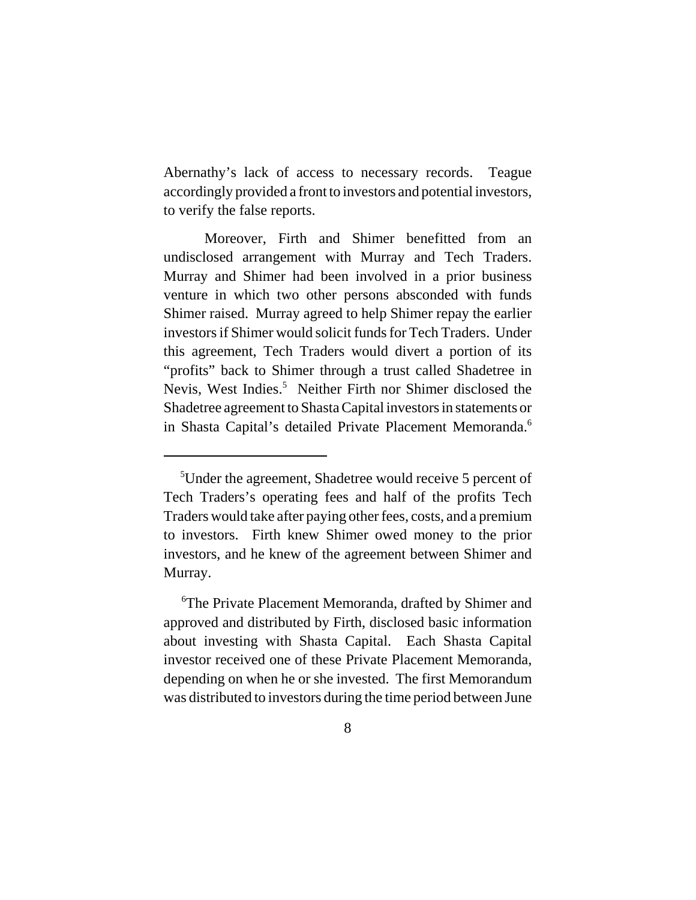Abernathy's lack of access to necessary records. Teague accordingly provided a front to investors and potential investors, to verify the false reports.

Moreover, Firth and Shimer benefitted from an undisclosed arrangement with Murray and Tech Traders. Murray and Shimer had been involved in a prior business venture in which two other persons absconded with funds Shimer raised. Murray agreed to help Shimer repay the earlier investors if Shimer would solicit funds for Tech Traders. Under this agreement, Tech Traders would divert a portion of its "profits" back to Shimer through a trust called Shadetree in Nevis, West Indies.<sup>5</sup> Neither Firth nor Shimer disclosed the Shadetree agreement to Shasta Capital investors in statements or in Shasta Capital's detailed Private Placement Memoranda.<sup>6</sup>

 <sup>5</sup> Under the agreement, Shadetree would receive 5 percent of Tech Traders's operating fees and half of the profits Tech Traders would take after paying other fees, costs, and a premium to investors. Firth knew Shimer owed money to the prior investors, and he knew of the agreement between Shimer and Murray.

<sup>&</sup>lt;sup>6</sup>The Private Placement Memoranda, drafted by Shimer and approved and distributed by Firth, disclosed basic information about investing with Shasta Capital. Each Shasta Capital investor received one of these Private Placement Memoranda, depending on when he or she invested. The first Memorandum was distributed to investors during the time period between June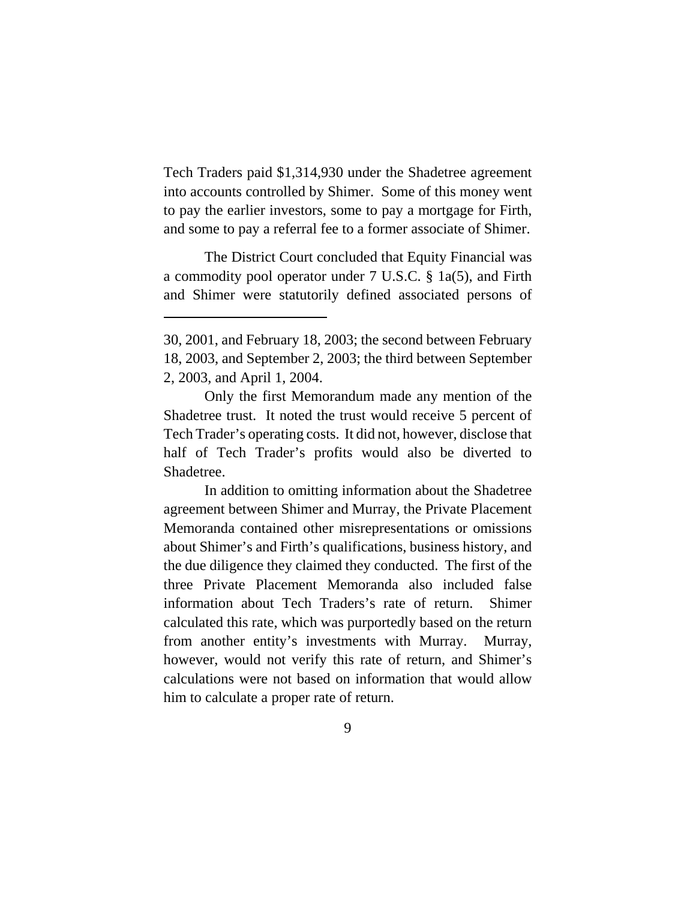Tech Traders paid \$1,314,930 under the Shadetree agreement into accounts controlled by Shimer. Some of this money went to pay the earlier investors, some to pay a mortgage for Firth, and some to pay a referral fee to a former associate of Shimer.

The District Court concluded that Equity Financial was a commodity pool operator under 7 U.S.C. § 1a(5), and Firth and Shimer were statutorily defined associated persons of

In addition to omitting information about the Shadetree agreement between Shimer and Murray, the Private Placement Memoranda contained other misrepresentations or omissions about Shimer's and Firth's qualifications, business history, and the due diligence they claimed they conducted. The first of the three Private Placement Memoranda also included false information about Tech Traders's rate of return. Shimer calculated this rate, which was purportedly based on the return from another entity's investments with Murray. Murray, however, would not verify this rate of return, and Shimer's calculations were not based on information that would allow him to calculate a proper rate of return.

<sup>30, 2001,</sup> and February 18, 2003; the second between February 18, 2003, and September 2, 2003; the third between September 2, 2003, and April 1, 2004.

Only the first Memorandum made any mention of the Shadetree trust. It noted the trust would receive 5 percent of Tech Trader's operating costs. It did not, however, disclose that half of Tech Trader's profits would also be diverted to Shadetree.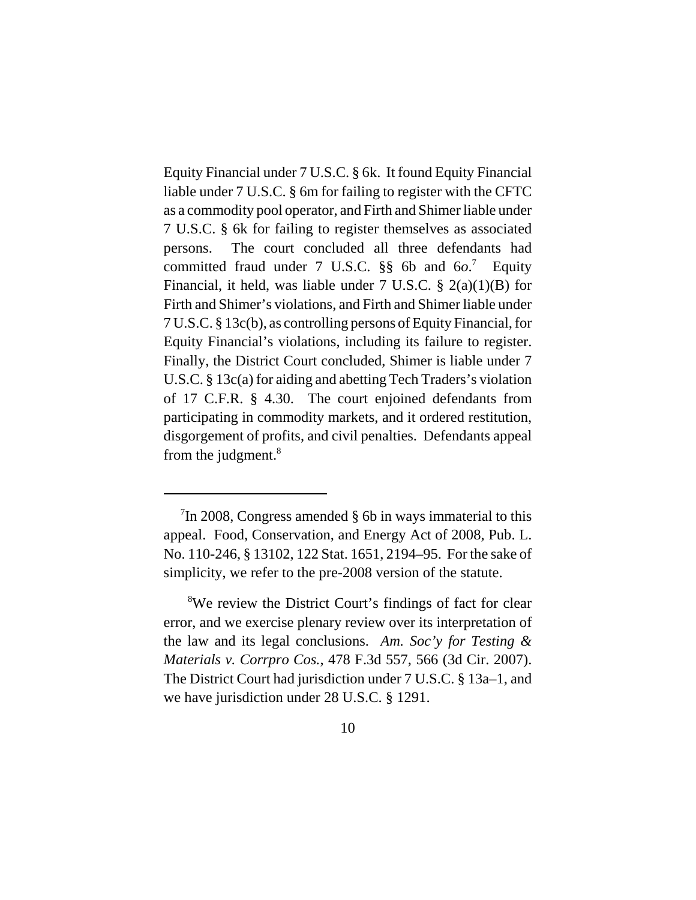Equity Financial under 7 U.S.C. § 6k. It found Equity Financial liable under 7 U.S.C. § 6m for failing to register with the CFTC as a commodity pool operator, and Firth and Shimer liable under 7 U.S.C. § 6k for failing to register themselves as associated persons. The court concluded all three defendants had committed fraud under 7 U.S.C. §§ 6b and 6*o*. 7 Equity Financial, it held, was liable under 7 U.S.C.  $\S$  2(a)(1)(B) for Firth and Shimer's violations, and Firth and Shimer liable under 7 U.S.C. § 13c(b), as controlling persons of Equity Financial, for Equity Financial's violations, including its failure to register. Finally, the District Court concluded, Shimer is liable under 7 U.S.C. § 13c(a) for aiding and abetting Tech Traders's violation of 17 C.F.R. § 4.30. The court enjoined defendants from participating in commodity markets, and it ordered restitution, disgorgement of profits, and civil penalties. Defendants appeal from the judgment. $8$ 

<sup>&</sup>lt;sup>7</sup>In 2008, Congress amended § 6b in ways immaterial to this appeal. Food, Conservation, and Energy Act of 2008, Pub. L. No. 110-246, § 13102, 122 Stat. 1651, 2194–95. For the sake of simplicity, we refer to the pre-2008 version of the statute.

<sup>&</sup>lt;sup>8</sup>We review the District Court's findings of fact for clear error, and we exercise plenary review over its interpretation of the law and its legal conclusions. *Am. Soc'y for Testing & Materials v. Corrpro Cos.*, 478 F.3d 557, 566 (3d Cir. 2007). The District Court had jurisdiction under 7 U.S.C. § 13a–1, and we have jurisdiction under 28 U.S.C. § 1291.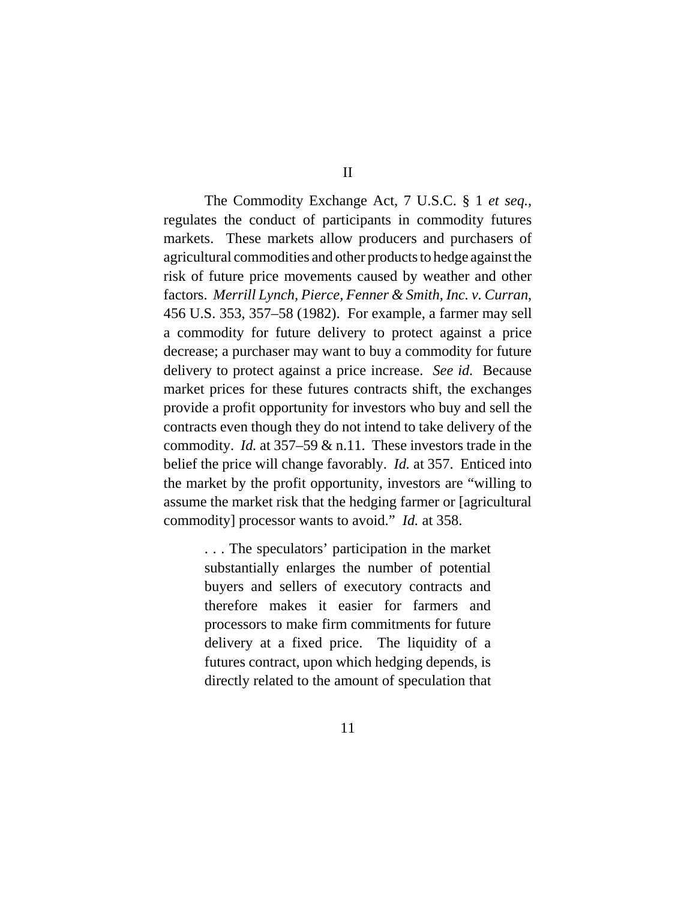The Commodity Exchange Act, 7 U.S.C. § 1 *et seq.*, regulates the conduct of participants in commodity futures markets. These markets allow producers and purchasers of agricultural commodities and other products to hedge against the risk of future price movements caused by weather and other factors. *Merrill Lynch, Pierce, Fenner & Smith, Inc. v. Curran*, 456 U.S. 353, 357–58 (1982). For example, a farmer may sell a commodity for future delivery to protect against a price decrease; a purchaser may want to buy a commodity for future delivery to protect against a price increase. *See id.* Because market prices for these futures contracts shift, the exchanges provide a profit opportunity for investors who buy and sell the contracts even though they do not intend to take delivery of the commodity. *Id.* at 357–59 & n.11. These investors trade in the belief the price will change favorably. *Id.* at 357. Enticed into the market by the profit opportunity, investors are "willing to assume the market risk that the hedging farmer or [agricultural commodity] processor wants to avoid." *Id.* at 358.

> . . . The speculators' participation in the market substantially enlarges the number of potential buyers and sellers of executory contracts and therefore makes it easier for farmers and processors to make firm commitments for future delivery at a fixed price. The liquidity of a futures contract, upon which hedging depends, is directly related to the amount of speculation that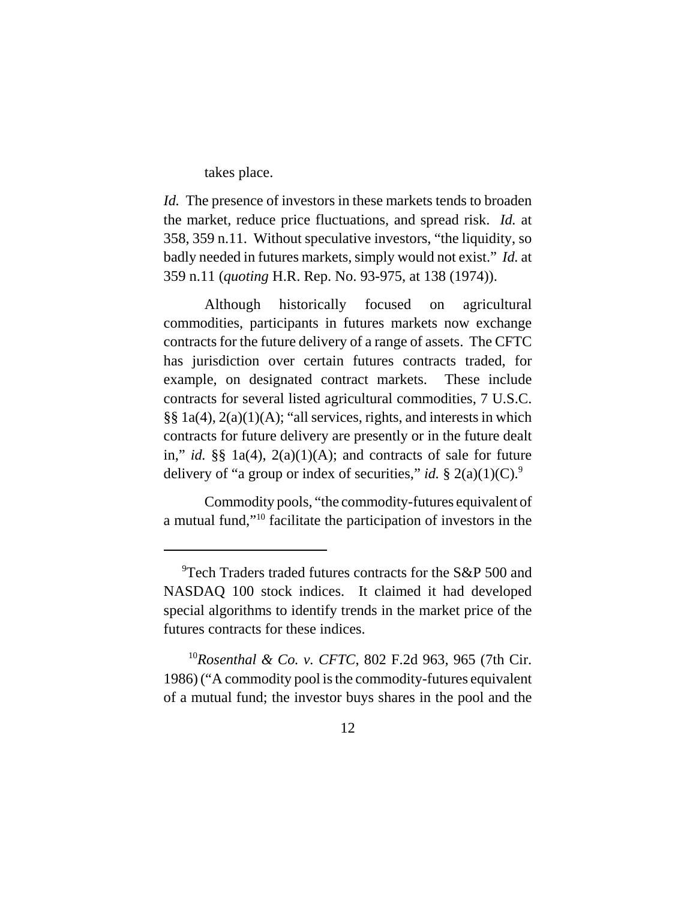takes place.

*Id.* The presence of investors in these markets tends to broaden the market, reduce price fluctuations, and spread risk. *Id.* at 358, 359 n.11. Without speculative investors, "the liquidity, so badly needed in futures markets, simply would not exist." *Id.* at 359 n.11 (*quoting* H.R. Rep. No. 93-975, at 138 (1974)).

Although historically focused on agricultural commodities, participants in futures markets now exchange contracts for the future delivery of a range of assets. The CFTC has jurisdiction over certain futures contracts traded, for example, on designated contract markets. These include contracts for several listed agricultural commodities, 7 U.S.C.  $\S\S 1a(4)$ ,  $2(a)(1)(A)$ ; "all services, rights, and interests in which contracts for future delivery are presently or in the future dealt in," *id.* §§ 1a(4), 2(a)(1)(A); and contracts of sale for future delivery of "a group or index of securities," *id.* § 2(a)(1)(C).<sup>9</sup>

Commodity pools, "the commodity-futures equivalent of a mutual fund,"10 facilitate the participation of investors in the

<sup>&</sup>lt;sup>9</sup>Tech Traders traded futures contracts for the S&P 500 and NASDAQ 100 stock indices. It claimed it had developed special algorithms to identify trends in the market price of the futures contracts for these indices.

 <sup>10</sup>*Rosenthal & Co. v. CFTC*, 802 F.2d 963, 965 (7th Cir. 1986) ("A commodity pool is the commodity-futures equivalent of a mutual fund; the investor buys shares in the pool and the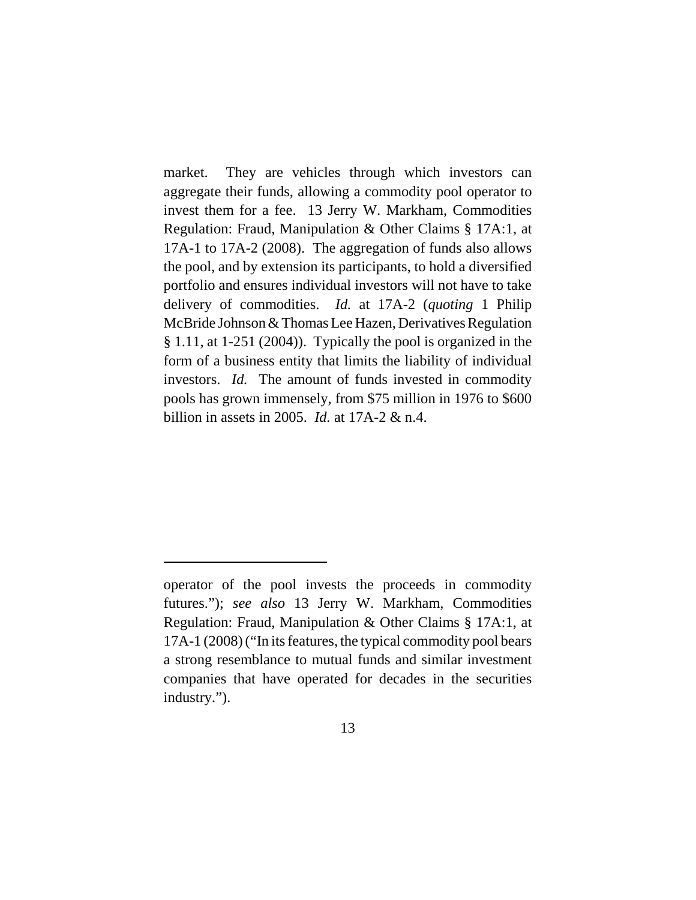market. They are vehicles through which investors can aggregate their funds, allowing a commodity pool operator to invest them for a fee. 13 Jerry W. Markham, Commodities Regulation: Fraud, Manipulation & Other Claims § 17A:1, at 17A-1 to 17A-2 (2008). The aggregation of funds also allows the pool, and by extension its participants, to hold a diversified portfolio and ensures individual investors will not have to take delivery of commodities. *Id.* at 17A-2 (*quoting* 1 Philip McBride Johnson & Thomas Lee Hazen, Derivatives Regulation § 1.11, at 1-251 (2004)). Typically the pool is organized in the form of a business entity that limits the liability of individual investors. *Id.* The amount of funds invested in commodity pools has grown immensely, from \$75 million in 1976 to \$600 billion in assets in 2005. *Id.* at 17A-2 & n.4.

operator of the pool invests the proceeds in commodity futures."); *see also* 13 Jerry W. Markham, Commodities Regulation: Fraud, Manipulation & Other Claims § 17A:1, at 17A-1 (2008) ("In its features, the typical commodity pool bears a strong resemblance to mutual funds and similar investment companies that have operated for decades in the securities industry.").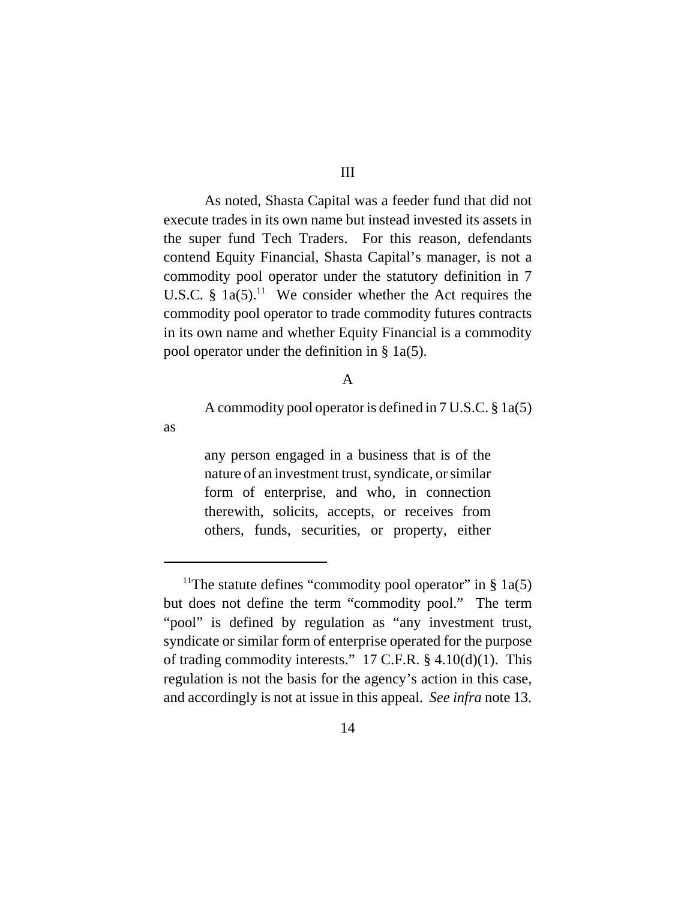As noted, Shasta Capital was a feeder fund that did not execute trades in its own name but instead invested its assets in the super fund Tech Traders. For this reason, defendants contend Equity Financial, Shasta Capital's manager, is not a commodity pool operator under the statutory definition in 7 U.S.C. §  $1a(5)$ .<sup>11</sup> We consider whether the Act requires the commodity pool operator to trade commodity futures contracts in its own name and whether Equity Financial is a commodity pool operator under the definition in § 1a(5).

#### A

A commodity pool operator is defined in 7 U.S.C. § 1a(5)

as

any person engaged in a business that is of the nature of an investment trust, syndicate, or similar form of enterprise, and who, in connection therewith, solicits, accepts, or receives from others, funds, securities, or property, either

<sup>&</sup>lt;sup>11</sup>The statute defines "commodity pool operator" in § 1a(5) but does not define the term "commodity pool." The term "pool" is defined by regulation as "any investment trust, syndicate or similar form of enterprise operated for the purpose of trading commodity interests." 17 C.F.R. § 4.10(d)(1). This regulation is not the basis for the agency's action in this case, and accordingly is not at issue in this appeal. *See infra* note 13.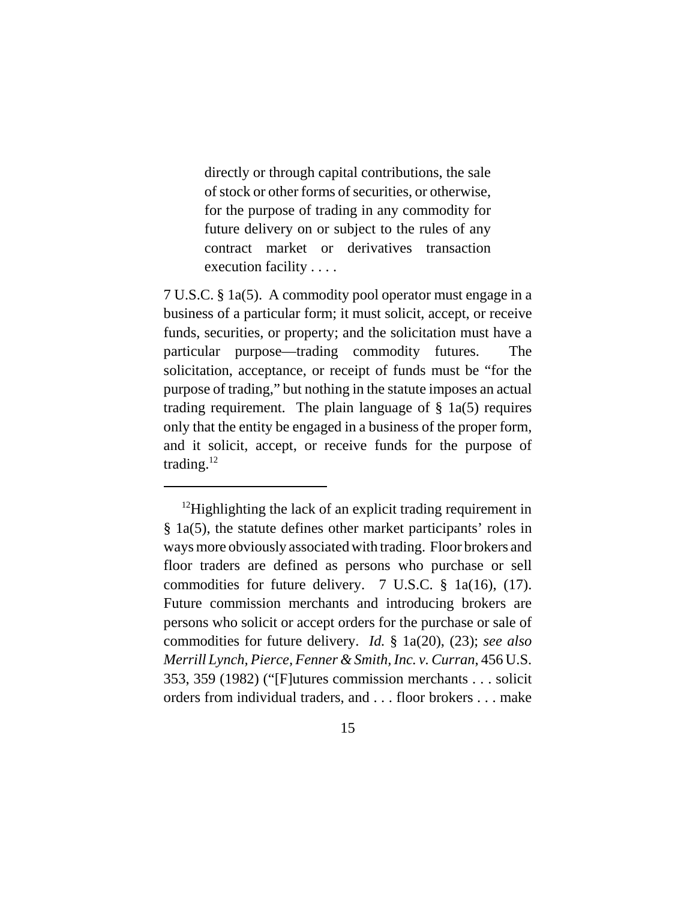directly or through capital contributions, the sale of stock or other forms of securities, or otherwise, for the purpose of trading in any commodity for future delivery on or subject to the rules of any contract market or derivatives transaction execution facility . . . .

7 U.S.C. § 1a(5). A commodity pool operator must engage in a business of a particular form; it must solicit, accept, or receive funds, securities, or property; and the solicitation must have a particular purpose—trading commodity futures. The solicitation, acceptance, or receipt of funds must be "for the purpose of trading," but nothing in the statute imposes an actual trading requirement. The plain language of  $\S$  1a(5) requires only that the entity be engaged in a business of the proper form, and it solicit, accept, or receive funds for the purpose of trading. $12$ 

<sup>&</sup>lt;sup>12</sup>Highlighting the lack of an explicit trading requirement in § 1a(5), the statute defines other market participants' roles in ways more obviously associated with trading. Floor brokers and floor traders are defined as persons who purchase or sell commodities for future delivery. 7 U.S.C. § 1a(16), (17). Future commission merchants and introducing brokers are persons who solicit or accept orders for the purchase or sale of commodities for future delivery. *Id.* § 1a(20), (23); *see also Merrill Lynch, Pierce, Fenner & Smith, Inc. v. Curran*, 456 U.S. 353, 359 (1982) ("[F]utures commission merchants . . . solicit orders from individual traders, and . . . floor brokers . . . make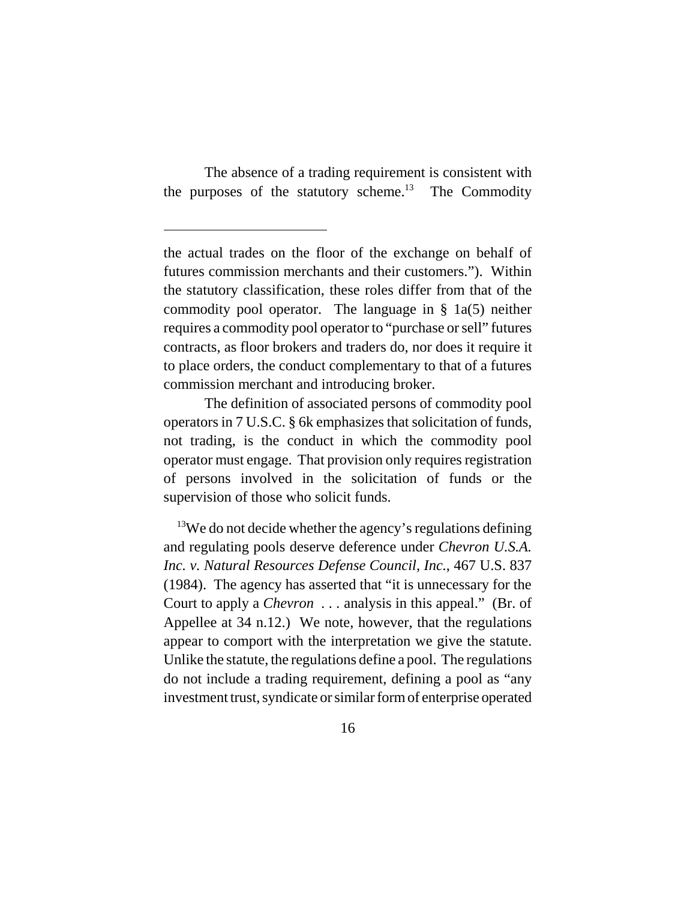The absence of a trading requirement is consistent with the purposes of the statutory scheme.<sup>13</sup> The Commodity

The definition of associated persons of commodity pool operators in 7 U.S.C. § 6k emphasizes that solicitation of funds, not trading, is the conduct in which the commodity pool operator must engage. That provision only requires registration of persons involved in the solicitation of funds or the supervision of those who solicit funds.

 $13$ We do not decide whether the agency's regulations defining and regulating pools deserve deference under *Chevron U.S.A. Inc. v. Natural Resources Defense Council, Inc.*, 467 U.S. 837 (1984). The agency has asserted that "it is unnecessary for the Court to apply a *Chevron . . .* analysis in this appeal." (Br. of Appellee at 34 n.12.) We note, however, that the regulations appear to comport with the interpretation we give the statute. Unlike the statute, the regulations define a pool. The regulations do not include a trading requirement, defining a pool as "any investment trust, syndicate or similar form of enterprise operated

the actual trades on the floor of the exchange on behalf of futures commission merchants and their customers."). Within the statutory classification, these roles differ from that of the commodity pool operator. The language in  $\S$  1a(5) neither requires a commodity pool operator to "purchase or sell" futures contracts, as floor brokers and traders do, nor does it require it to place orders, the conduct complementary to that of a futures commission merchant and introducing broker.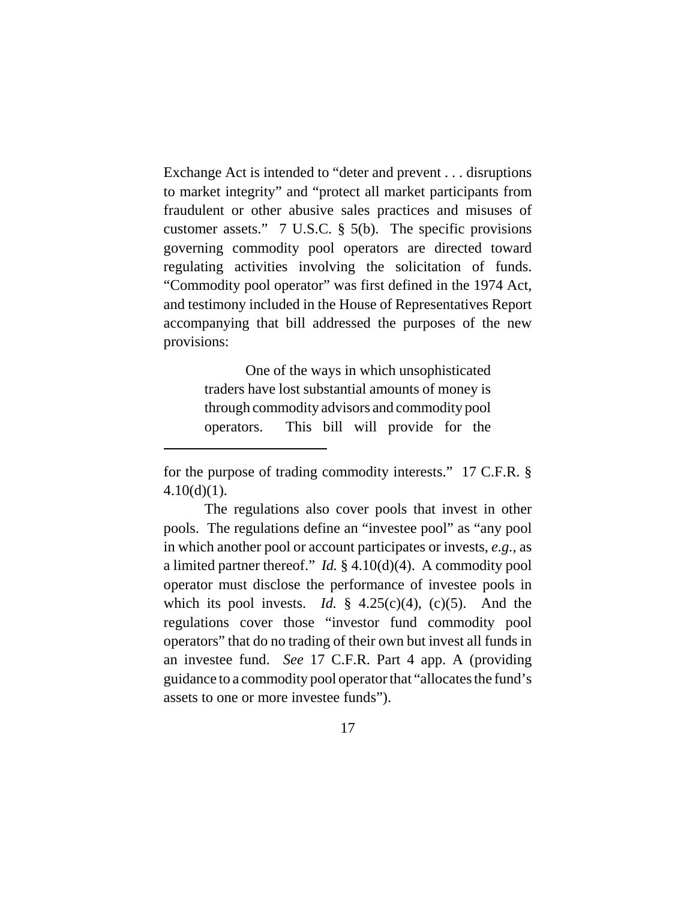Exchange Act is intended to "deter and prevent . . . disruptions to market integrity" and "protect all market participants from fraudulent or other abusive sales practices and misuses of customer assets." 7 U.S.C. § 5(b). The specific provisions governing commodity pool operators are directed toward regulating activities involving the solicitation of funds. "Commodity pool operator" was first defined in the 1974 Act, and testimony included in the House of Representatives Report accompanying that bill addressed the purposes of the new provisions:

> One of the ways in which unsophisticated traders have lost substantial amounts of money is through commodity advisors and commodity pool operators. This bill will provide for the

for the purpose of trading commodity interests." 17 C.F.R. §  $4.10(d)(1)$ .

The regulations also cover pools that invest in other pools. The regulations define an "investee pool" as "any pool in which another pool or account participates or invests, *e.g.*, as a limited partner thereof." *Id.* § 4.10(d)(4). A commodity pool operator must disclose the performance of investee pools in which its pool invests. *Id.*  $\frac{1}{2}$  4.25(c)(4), (c)(5). And the regulations cover those "investor fund commodity pool operators" that do no trading of their own but invest all funds in an investee fund. *See* 17 C.F.R. Part 4 app. A (providing guidance to a commodity pool operator that "allocates the fund's assets to one or more investee funds").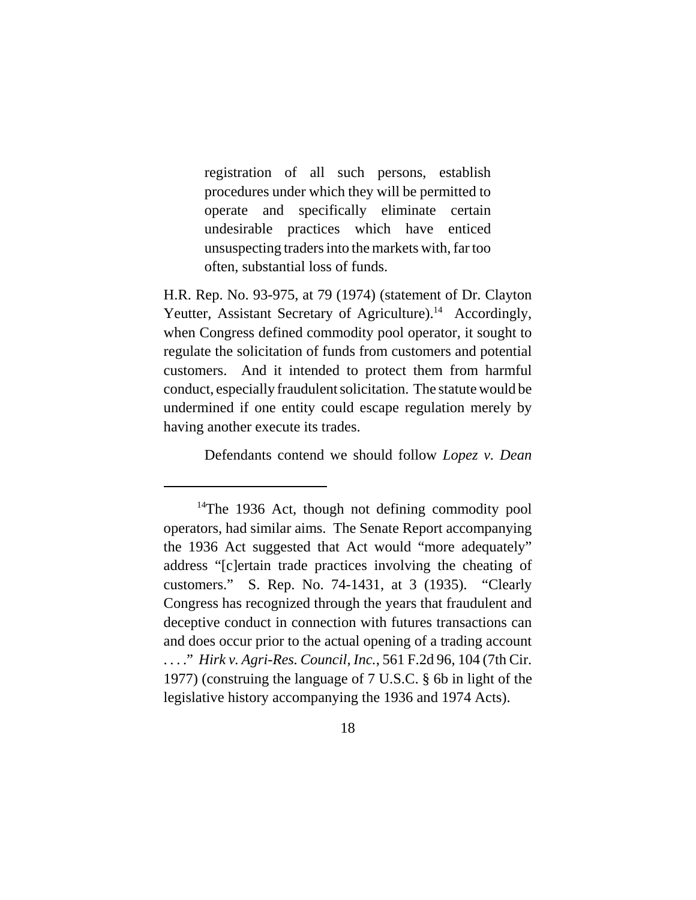registration of all such persons, establish procedures under which they will be permitted to operate and specifically eliminate certain undesirable practices which have enticed unsuspecting traders into the markets with, far too often, substantial loss of funds.

H.R. Rep. No. 93-975, at 79 (1974) (statement of Dr. Clayton Yeutter, Assistant Secretary of Agriculture).<sup>14</sup> Accordingly, when Congress defined commodity pool operator, it sought to regulate the solicitation of funds from customers and potential customers. And it intended to protect them from harmful conduct, especially fraudulent solicitation. The statute would be undermined if one entity could escape regulation merely by having another execute its trades.

Defendants contend we should follow *Lopez v. Dean*

 $14$ The 1936 Act, though not defining commodity pool operators, had similar aims. The Senate Report accompanying the 1936 Act suggested that Act would "more adequately" address "[c]ertain trade practices involving the cheating of customers." S. Rep. No. 74-1431, at 3 (1935). "Clearly Congress has recognized through the years that fraudulent and deceptive conduct in connection with futures transactions can and does occur prior to the actual opening of a trading account . . . ." *Hirk v. Agri-Res. Council, Inc.*, 561 F.2d 96, 104 (7th Cir. 1977) (construing the language of 7 U.S.C. § 6b in light of the legislative history accompanying the 1936 and 1974 Acts).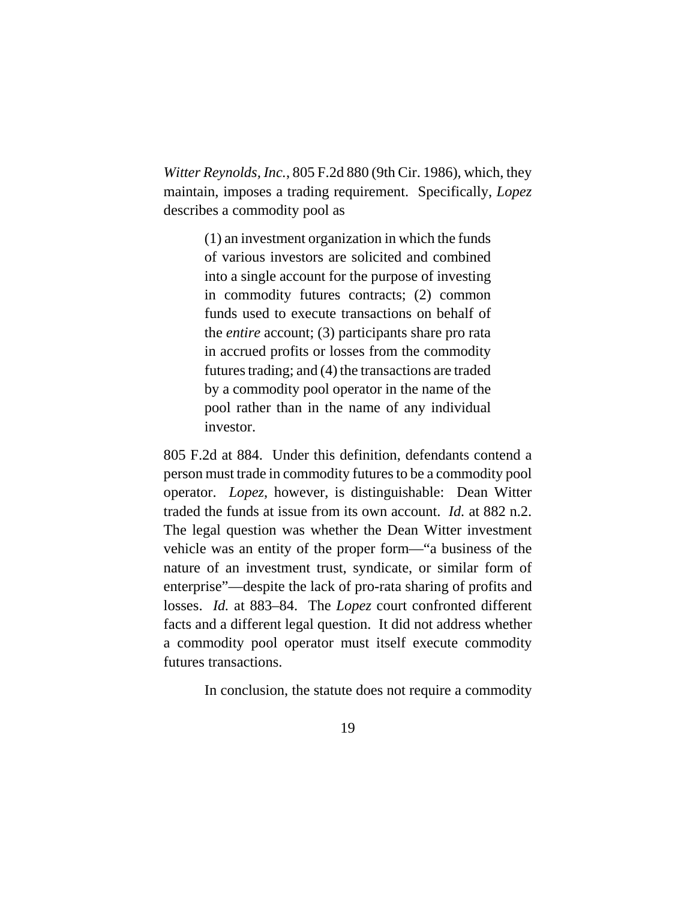*Witter Reynolds, Inc.*, 805 F.2d 880 (9th Cir. 1986), which, they maintain, imposes a trading requirement. Specifically, *Lopez* describes a commodity pool as

> (1) an investment organization in which the funds of various investors are solicited and combined into a single account for the purpose of investing in commodity futures contracts; (2) common funds used to execute transactions on behalf of the *entire* account; (3) participants share pro rata in accrued profits or losses from the commodity futures trading; and (4) the transactions are traded by a commodity pool operator in the name of the pool rather than in the name of any individual investor.

805 F.2d at 884. Under this definition, defendants contend a person must trade in commodity futures to be a commodity pool operator. *Lopez*, however, is distinguishable: Dean Witter traded the funds at issue from its own account. *Id.* at 882 n.2. The legal question was whether the Dean Witter investment vehicle was an entity of the proper form—"a business of the nature of an investment trust, syndicate, or similar form of enterprise"—despite the lack of pro-rata sharing of profits and losses. *Id.* at 883–84. The *Lopez* court confronted different facts and a different legal question. It did not address whether a commodity pool operator must itself execute commodity futures transactions.

In conclusion, the statute does not require a commodity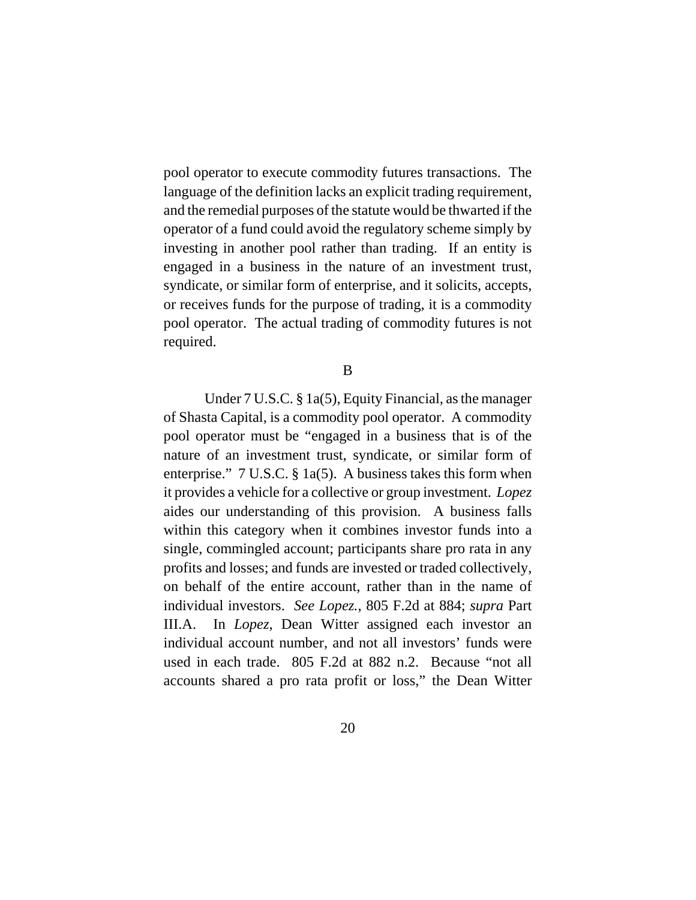pool operator to execute commodity futures transactions. The language of the definition lacks an explicit trading requirement, and the remedial purposes of the statute would be thwarted if the operator of a fund could avoid the regulatory scheme simply by investing in another pool rather than trading. If an entity is engaged in a business in the nature of an investment trust, syndicate, or similar form of enterprise, and it solicits, accepts, or receives funds for the purpose of trading, it is a commodity pool operator. The actual trading of commodity futures is not required.

B

Under 7 U.S.C. § 1a(5), Equity Financial, as the manager of Shasta Capital, is a commodity pool operator. A commodity pool operator must be "engaged in a business that is of the nature of an investment trust, syndicate, or similar form of enterprise." 7 U.S.C. § 1a(5). A business takes this form when it provides a vehicle for a collective or group investment. *Lopez* aides our understanding of this provision. A business falls within this category when it combines investor funds into a single, commingled account; participants share pro rata in any profits and losses; and funds are invested or traded collectively, on behalf of the entire account, rather than in the name of individual investors. *See Lopez.*, 805 F.2d at 884; *supra* Part III.A. In *Lopez*, Dean Witter assigned each investor an individual account number, and not all investors' funds were used in each trade. 805 F.2d at 882 n.2. Because "not all accounts shared a pro rata profit or loss," the Dean Witter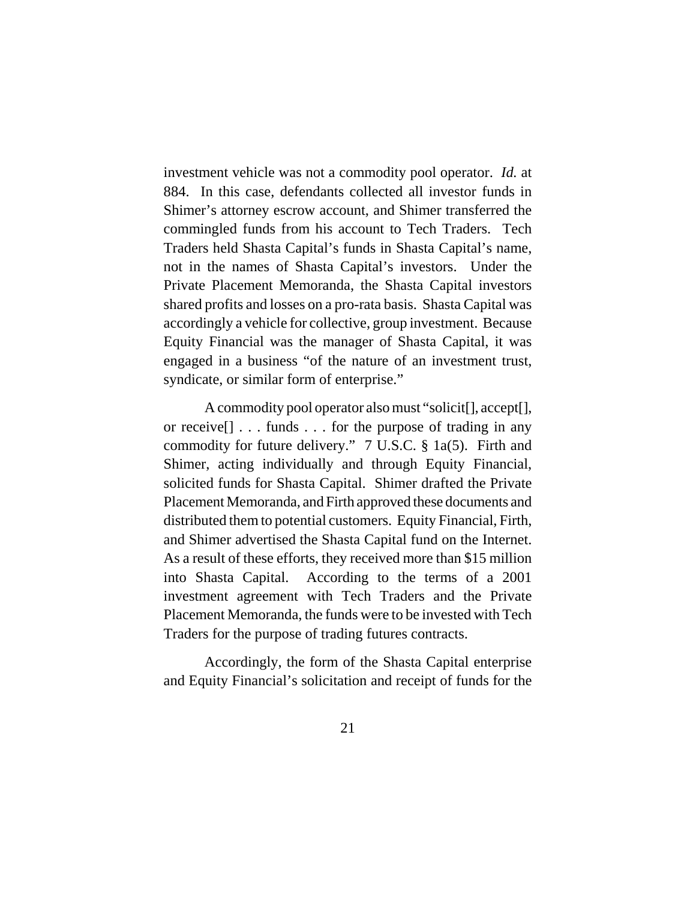investment vehicle was not a commodity pool operator. *Id.* at 884. In this case, defendants collected all investor funds in Shimer's attorney escrow account, and Shimer transferred the commingled funds from his account to Tech Traders. Tech Traders held Shasta Capital's funds in Shasta Capital's name, not in the names of Shasta Capital's investors. Under the Private Placement Memoranda, the Shasta Capital investors shared profits and losses on a pro-rata basis. Shasta Capital was accordingly a vehicle for collective, group investment. Because Equity Financial was the manager of Shasta Capital, it was engaged in a business "of the nature of an investment trust, syndicate, or similar form of enterprise."

A commodity pool operator also must "solicit[], accept[], or receive[] . . . funds . . . for the purpose of trading in any commodity for future delivery." 7 U.S.C. § 1a(5). Firth and Shimer, acting individually and through Equity Financial, solicited funds for Shasta Capital. Shimer drafted the Private Placement Memoranda, and Firth approved these documents and distributed them to potential customers. Equity Financial, Firth, and Shimer advertised the Shasta Capital fund on the Internet. As a result of these efforts, they received more than \$15 million into Shasta Capital. According to the terms of a 2001 investment agreement with Tech Traders and the Private Placement Memoranda, the funds were to be invested with Tech Traders for the purpose of trading futures contracts.

Accordingly, the form of the Shasta Capital enterprise and Equity Financial's solicitation and receipt of funds for the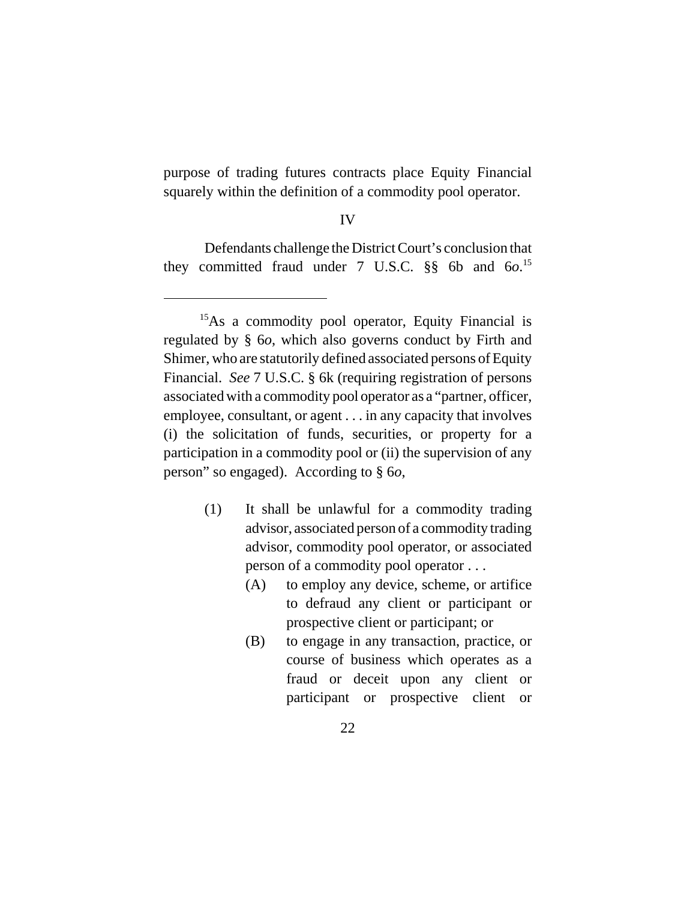purpose of trading futures contracts place Equity Financial squarely within the definition of a commodity pool operator.

#### IV

Defendants challenge the District Court's conclusion that they committed fraud under 7 U.S.C. §§ 6b and 6*o*. 15

- (1) It shall be unlawful for a commodity trading advisor, associated person of a commodity trading advisor, commodity pool operator, or associated person of a commodity pool operator . . .
	- (A) to employ any device, scheme, or artifice to defraud any client or participant or prospective client or participant; or
	- (B) to engage in any transaction, practice, or course of business which operates as a fraud or deceit upon any client or participant or prospective client or

<sup>&</sup>lt;sup>15</sup>As a commodity pool operator, Equity Financial is regulated by § 6*o*, which also governs conduct by Firth and Shimer, who are statutorily defined associated persons of Equity Financial. *See* 7 U.S.C. § 6k (requiring registration of persons associated with a commodity pool operator as a "partner, officer, employee, consultant, or agent . . . in any capacity that involves (i) the solicitation of funds, securities, or property for a participation in a commodity pool or (ii) the supervision of any person" so engaged). According to § 6*o*,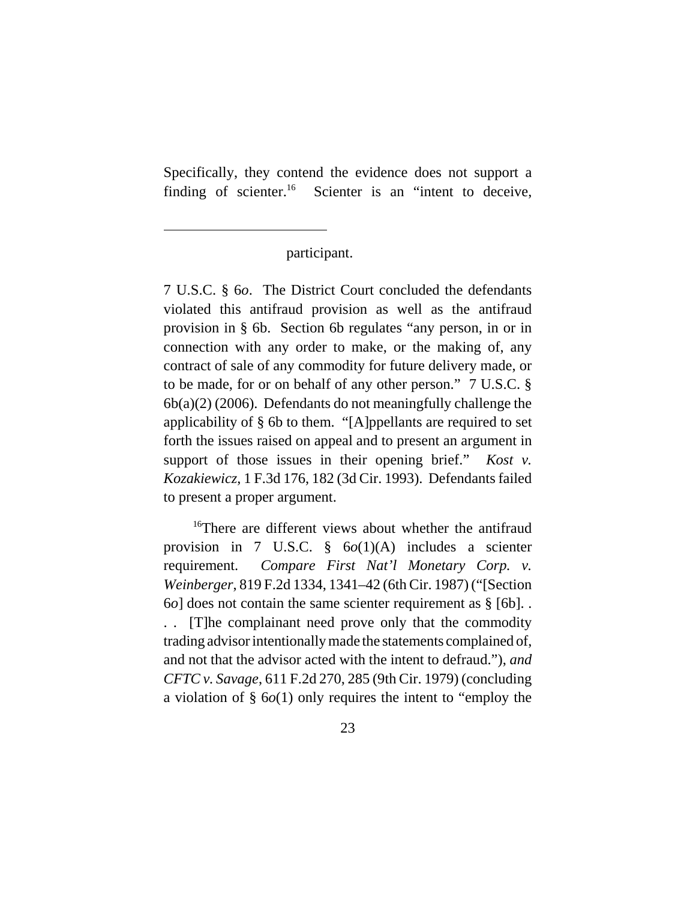Specifically, they contend the evidence does not support a finding of scienter.<sup>16</sup> Scienter is an "intent to deceive,

participant.

7 U.S.C. § 6*o*. The District Court concluded the defendants violated this antifraud provision as well as the antifraud provision in § 6b. Section 6b regulates "any person, in or in connection with any order to make, or the making of, any contract of sale of any commodity for future delivery made, or to be made, for or on behalf of any other person." 7 U.S.C. § 6b(a)(2) (2006). Defendants do not meaningfully challenge the applicability of § 6b to them. "[A]ppellants are required to set forth the issues raised on appeal and to present an argument in support of those issues in their opening brief." *Kost v. Kozakiewicz*, 1 F.3d 176, 182 (3d Cir. 1993). Defendants failed to present a proper argument.

<sup>16</sup>There are different views about whether the antifraud provision in 7 U.S.C. § 6*o*(1)(A) includes a scienter requirement. *Compare First Nat'l Monetary Corp. v. Weinberger*, 819 F.2d 1334, 1341–42 (6th Cir. 1987) ("[Section 6*o*] does not contain the same scienter requirement as § [6b]. . . . [T]he complainant need prove only that the commodity trading advisor intentionally made the statements complained of, and not that the advisor acted with the intent to defraud."), *and CFTC v. Savage*, 611 F.2d 270, 285 (9th Cir. 1979) (concluding a violation of § 6*o*(1) only requires the intent to "employ the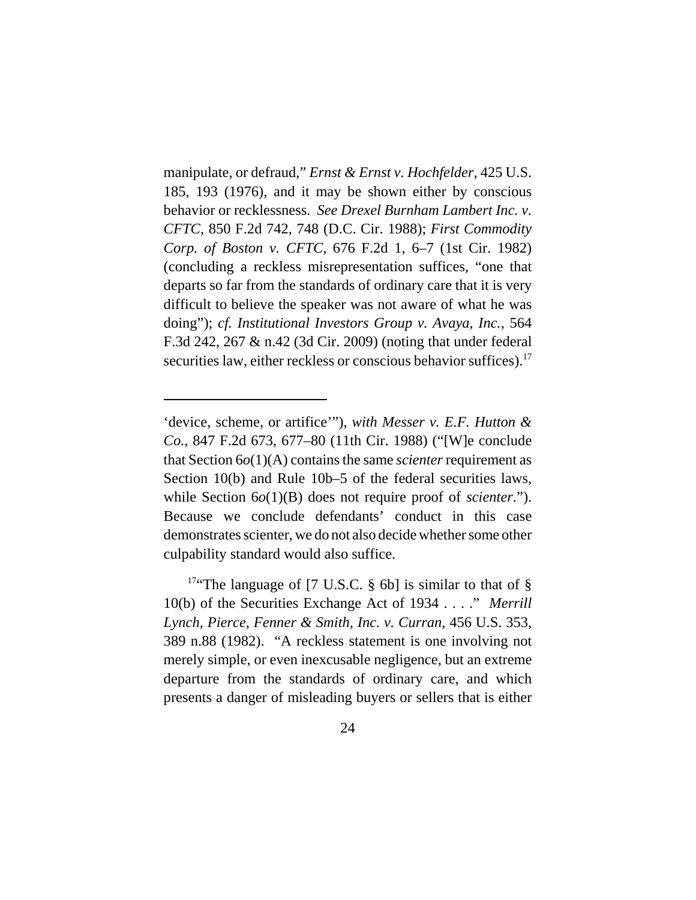manipulate, or defraud," *Ernst & Ernst v. Hochfelder*, 425 U.S. 185, 193 (1976), and it may be shown either by conscious behavior or recklessness. *See Drexel Burnham Lambert Inc. v. CFTC*, 850 F.2d 742, 748 (D.C. Cir. 1988); *First Commodity Corp. of Boston v. CFTC*, 676 F.2d 1, 6–7 (1st Cir. 1982) (concluding a reckless misrepresentation suffices, "one that departs so far from the standards of ordinary care that it is very difficult to believe the speaker was not aware of what he was doing"); *cf. Institutional Investors Group v. Avaya, Inc.*, 564 F.3d 242, 267 & n.42 (3d Cir. 2009) (noting that under federal securities law, either reckless or conscious behavior suffices).<sup>17</sup>

<sup>&#</sup>x27;device, scheme, or artifice'"), *with Messer v. E.F. Hutton & Co.*, 847 F.2d 673, 677–80 (11th Cir. 1988) ("[W]e conclude that Section 6*o*(1)(A) contains the same *scienter* requirement as Section 10(b) and Rule 10b–5 of the federal securities laws, while Section  $6o(1)(B)$  does not require proof of *scienter*."). Because we conclude defendants' conduct in this case demonstrates scienter, we do not also decide whether some other culpability standard would also suffice.

<sup>&</sup>lt;sup>17"</sup>The language of [7 U.S.C.  $\S$  6b] is similar to that of  $\S$ 10(b) of the Securities Exchange Act of 1934 . . . ." *Merrill Lynch, Pierce, Fenner & Smith, Inc. v. Curran*, 456 U.S. 353, 389 n.88 (1982). "A reckless statement is one involving not merely simple, or even inexcusable negligence, but an extreme departure from the standards of ordinary care, and which presents a danger of misleading buyers or sellers that is either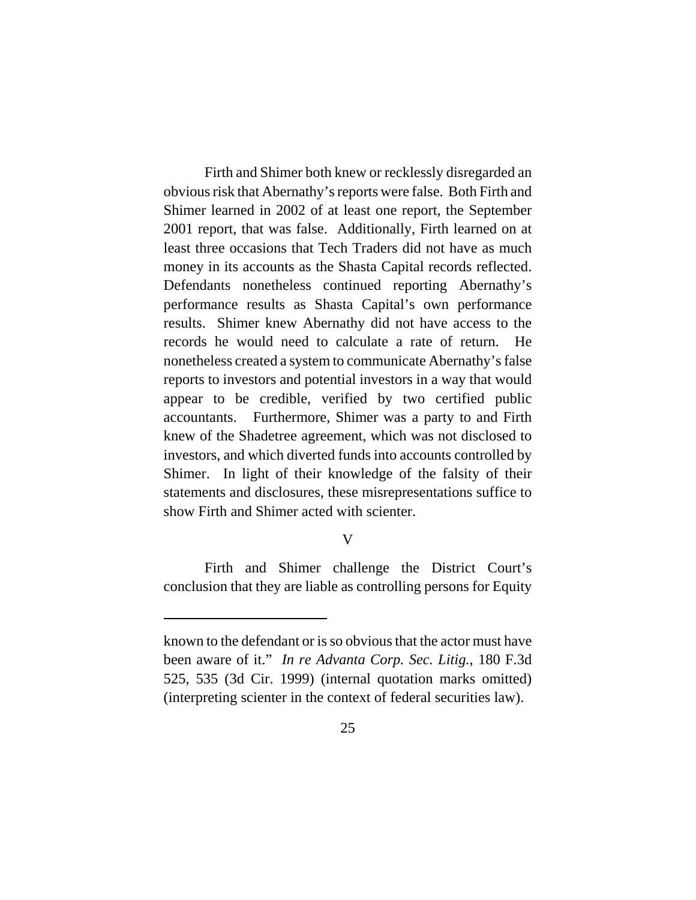Firth and Shimer both knew or recklessly disregarded an obvious risk that Abernathy's reports were false. Both Firth and Shimer learned in 2002 of at least one report, the September 2001 report, that was false. Additionally, Firth learned on at least three occasions that Tech Traders did not have as much money in its accounts as the Shasta Capital records reflected. Defendants nonetheless continued reporting Abernathy's performance results as Shasta Capital's own performance results. Shimer knew Abernathy did not have access to the records he would need to calculate a rate of return. He nonetheless created a system to communicate Abernathy's false reports to investors and potential investors in a way that would appear to be credible, verified by two certified public accountants. Furthermore, Shimer was a party to and Firth knew of the Shadetree agreement, which was not disclosed to investors, and which diverted funds into accounts controlled by Shimer. In light of their knowledge of the falsity of their statements and disclosures, these misrepresentations suffice to show Firth and Shimer acted with scienter.

# V

Firth and Shimer challenge the District Court's conclusion that they are liable as controlling persons for Equity

known to the defendant or is so obvious that the actor must have been aware of it." *In re Advanta Corp. Sec. Litig.*, 180 F.3d 525, 535 (3d Cir. 1999) (internal quotation marks omitted) (interpreting scienter in the context of federal securities law).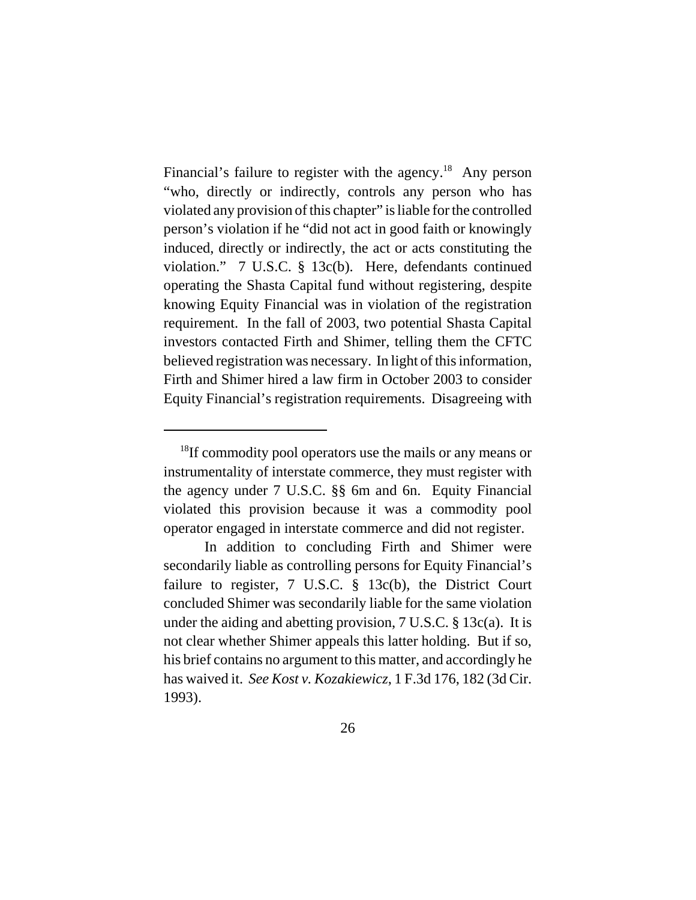Financial's failure to register with the agency.<sup>18</sup> Any person "who, directly or indirectly, controls any person who has violated any provision of this chapter" is liable for the controlled person's violation if he "did not act in good faith or knowingly induced, directly or indirectly, the act or acts constituting the violation." 7 U.S.C. § 13c(b). Here, defendants continued operating the Shasta Capital fund without registering, despite knowing Equity Financial was in violation of the registration requirement. In the fall of 2003, two potential Shasta Capital investors contacted Firth and Shimer, telling them the CFTC believed registration was necessary. In light of this information, Firth and Shimer hired a law firm in October 2003 to consider Equity Financial's registration requirements. Disagreeing with

<sup>&</sup>lt;sup>18</sup>If commodity pool operators use the mails or any means or instrumentality of interstate commerce, they must register with the agency under 7 U.S.C. §§ 6m and 6n. Equity Financial violated this provision because it was a commodity pool operator engaged in interstate commerce and did not register.

In addition to concluding Firth and Shimer were secondarily liable as controlling persons for Equity Financial's failure to register, 7 U.S.C. § 13c(b), the District Court concluded Shimer was secondarily liable for the same violation under the aiding and abetting provision, 7 U.S.C. § 13c(a). It is not clear whether Shimer appeals this latter holding. But if so, his brief contains no argument to this matter, and accordingly he has waived it. *See Kost v. Kozakiewicz*, 1 F.3d 176, 182 (3d Cir. 1993).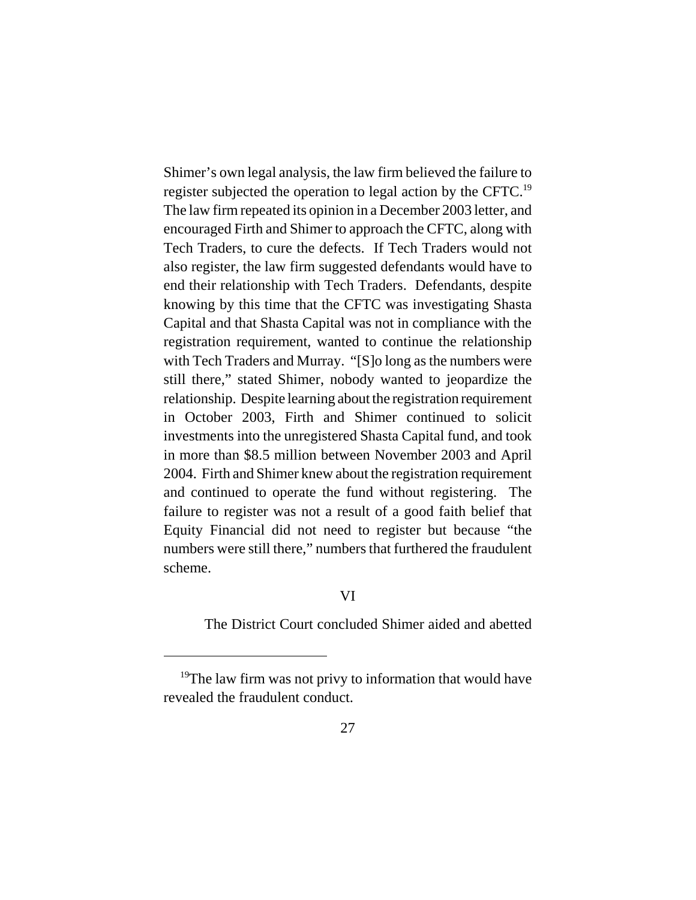Shimer's own legal analysis, the law firm believed the failure to register subjected the operation to legal action by the CFTC.19 The law firm repeated its opinion in a December 2003 letter, and encouraged Firth and Shimer to approach the CFTC, along with Tech Traders, to cure the defects. If Tech Traders would not also register, the law firm suggested defendants would have to end their relationship with Tech Traders. Defendants, despite knowing by this time that the CFTC was investigating Shasta Capital and that Shasta Capital was not in compliance with the registration requirement, wanted to continue the relationship with Tech Traders and Murray. "[S]o long as the numbers were still there," stated Shimer, nobody wanted to jeopardize the relationship. Despite learning about the registration requirement in October 2003, Firth and Shimer continued to solicit investments into the unregistered Shasta Capital fund, and took in more than \$8.5 million between November 2003 and April 2004. Firth and Shimer knew about the registration requirement and continued to operate the fund without registering. The failure to register was not a result of a good faith belief that Equity Financial did not need to register but because "the numbers were still there," numbers that furthered the fraudulent scheme.

# VI

The District Court concluded Shimer aided and abetted

<sup>&</sup>lt;sup>19</sup>The law firm was not privy to information that would have revealed the fraudulent conduct.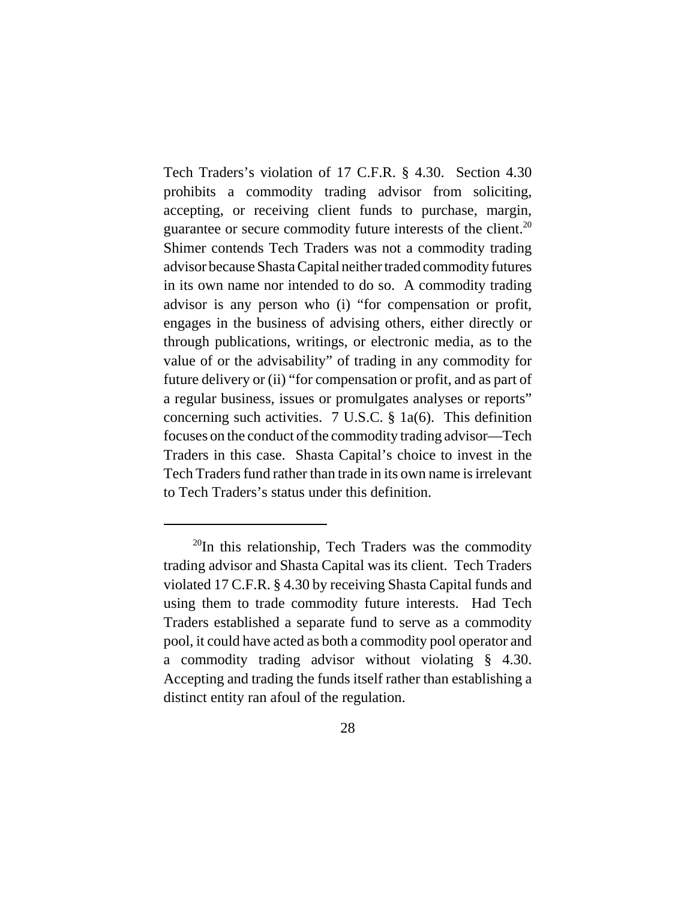Tech Traders's violation of 17 C.F.R. § 4.30. Section 4.30 prohibits a commodity trading advisor from soliciting, accepting, or receiving client funds to purchase, margin, guarantee or secure commodity future interests of the client.<sup>20</sup> Shimer contends Tech Traders was not a commodity trading advisor because Shasta Capital neither traded commodity futures in its own name nor intended to do so. A commodity trading advisor is any person who (i) "for compensation or profit, engages in the business of advising others, either directly or through publications, writings, or electronic media, as to the value of or the advisability" of trading in any commodity for future delivery or (ii) "for compensation or profit, and as part of a regular business, issues or promulgates analyses or reports" concerning such activities. 7 U.S.C. § 1a(6). This definition focuses on the conduct of the commodity trading advisor—Tech Traders in this case. Shasta Capital's choice to invest in the Tech Traders fund rather than trade in its own name is irrelevant to Tech Traders's status under this definition.

 $20$ In this relationship, Tech Traders was the commodity trading advisor and Shasta Capital was its client. Tech Traders violated 17 C.F.R. § 4.30 by receiving Shasta Capital funds and using them to trade commodity future interests. Had Tech Traders established a separate fund to serve as a commodity pool, it could have acted as both a commodity pool operator and a commodity trading advisor without violating § 4.30. Accepting and trading the funds itself rather than establishing a distinct entity ran afoul of the regulation.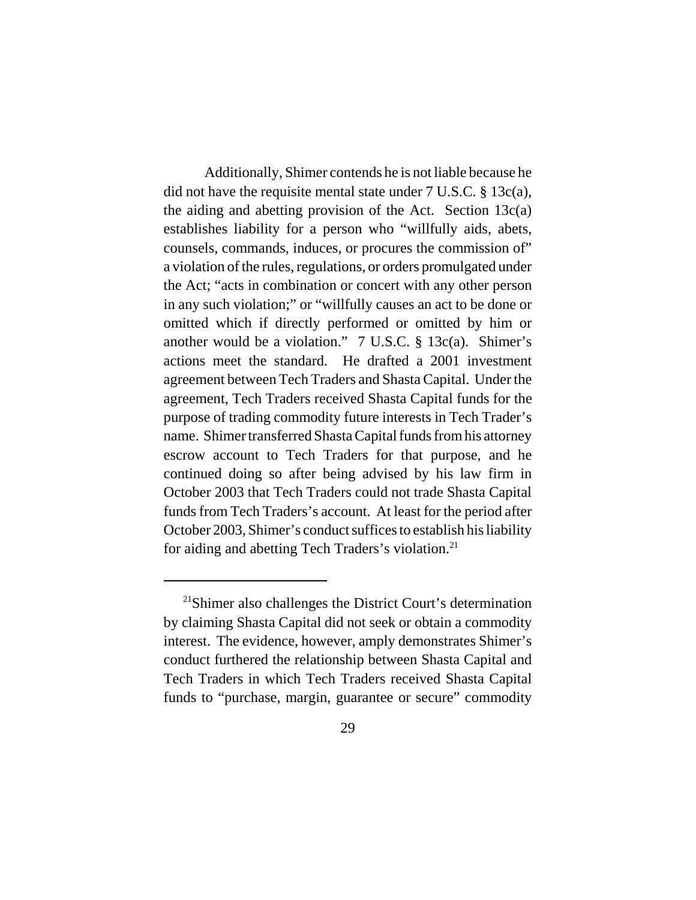Additionally, Shimer contends he is not liable because he did not have the requisite mental state under 7 U.S.C. § 13c(a), the aiding and abetting provision of the Act. Section 13c(a) establishes liability for a person who "willfully aids, abets, counsels, commands, induces, or procures the commission of" a violation of the rules, regulations, or orders promulgated under the Act; "acts in combination or concert with any other person in any such violation;" or "willfully causes an act to be done or omitted which if directly performed or omitted by him or another would be a violation." 7 U.S.C. § 13c(a). Shimer's actions meet the standard. He drafted a 2001 investment agreement between Tech Traders and Shasta Capital. Under the agreement, Tech Traders received Shasta Capital funds for the purpose of trading commodity future interests in Tech Trader's name. Shimer transferred Shasta Capital funds from his attorney escrow account to Tech Traders for that purpose, and he continued doing so after being advised by his law firm in October 2003 that Tech Traders could not trade Shasta Capital funds from Tech Traders's account. At least for the period after October 2003, Shimer's conduct suffices to establish his liability for aiding and abetting Tech Traders's violation.<sup>21</sup>

 $21$ Shimer also challenges the District Court's determination by claiming Shasta Capital did not seek or obtain a commodity interest. The evidence, however, amply demonstrates Shimer's conduct furthered the relationship between Shasta Capital and Tech Traders in which Tech Traders received Shasta Capital funds to "purchase, margin, guarantee or secure" commodity